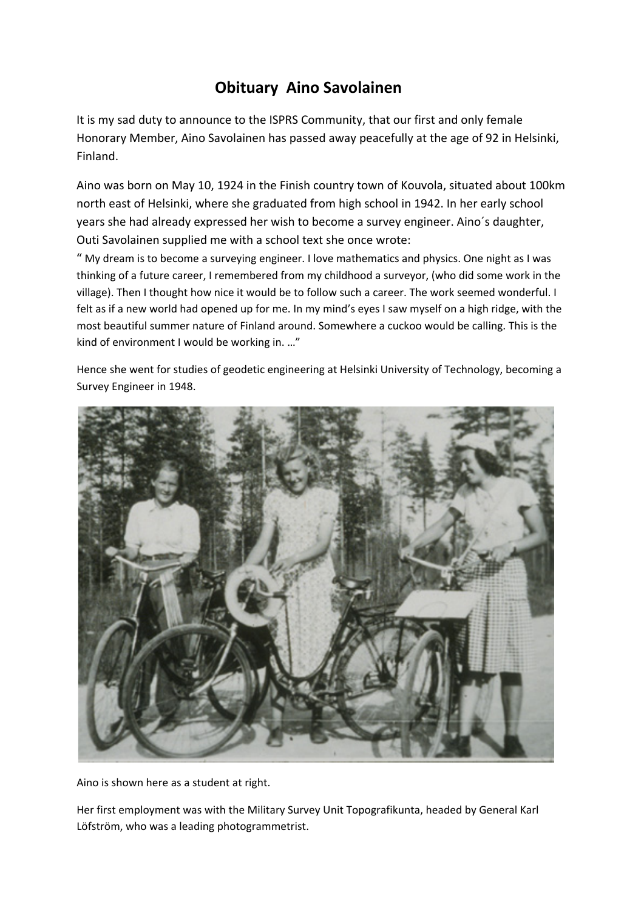## **Obituary Aino Savolainen**

It is my sad duty to announce to the ISPRS Community, that our first and only female Honorary Member, Aino Savolainen has passed away peacefully at the age of 92 in Helsinki, Finland.

Aino was born on May 10, 1924 in the Finish country town of Kouvola, situated about 100km north east of Helsinki, where she graduated from high school in 1942. In her early school years she had already expressed her wish to become a survey engineer. Aino´s daughter, Outi Savolainen supplied me with a school text she once wrote:

" My dream is to become a surveying engineer. I love mathematics and physics. One night as I was thinking of a future career, I remembered from my childhood a surveyor, (who did some work in the village). Then I thought how nice it would be to follow such a career. The work seemed wonderful. I felt as if a new world had opened up for me. In my mind's eyes I saw myself on a high ridge, with the most beautiful summer nature of Finland around. Somewhere a cuckoo would be calling. This is the kind of environment I would be working in. …"

Hence she went for studies of geodetic engineering at Helsinki University of Technology, becoming a Survey Engineer in 1948.



Aino is shown here as a student at right.

Her first employment was with the Military Survey Unit Topografikunta, headed by General Karl Löfström, who was a leading photogrammetrist.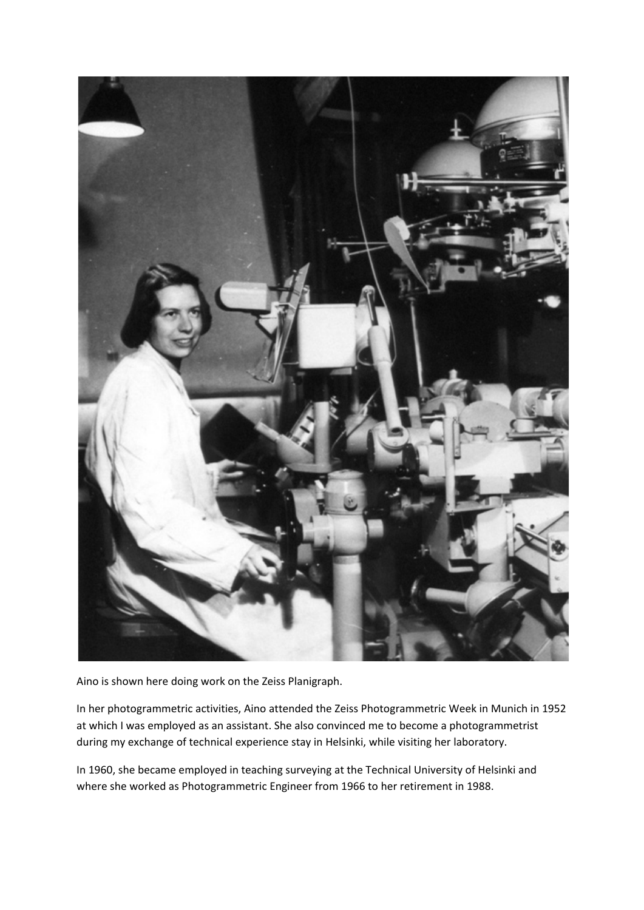

Aino is shown here doing work on the Zeiss Planigraph.

In her photogrammetric activities, Aino attended the Zeiss Photogrammetric Week in Munich in 1952 at which I was employed as an assistant. She also convinced me to become a photogrammetrist during my exchange of technical experience stay in Helsinki, while visiting her laboratory.

In 1960, she became employed in teaching surveying at the Technical University of Helsinki and where she worked as Photogrammetric Engineer from 1966 to her retirement in 1988.